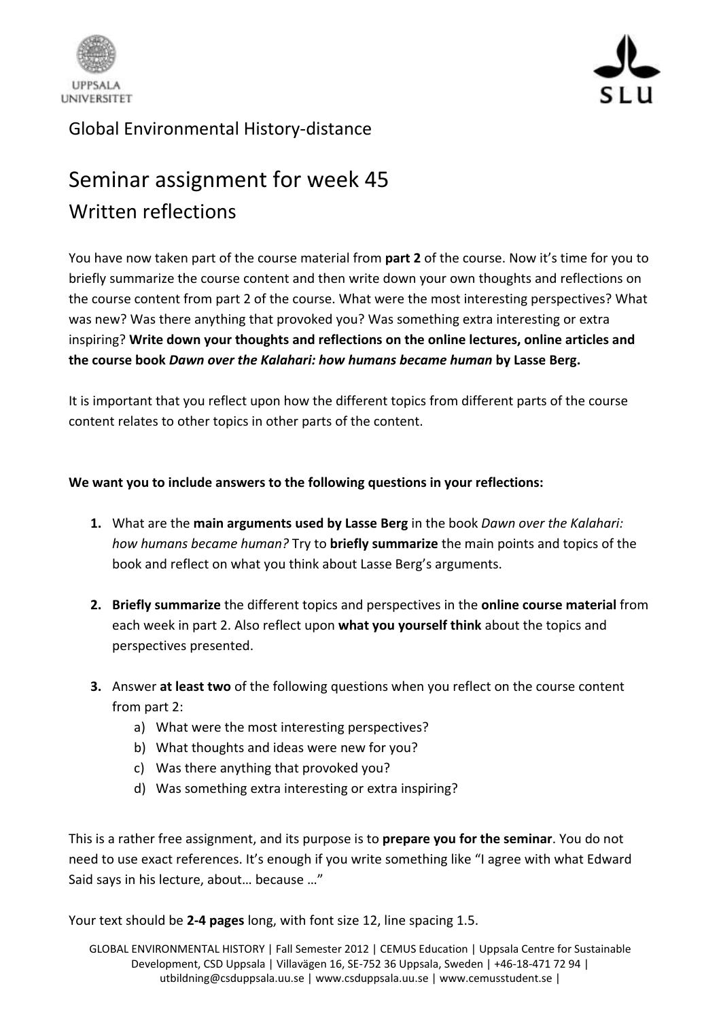



## Global Environmental History-distance

## Seminar assignment for week 45 Written reflections

You have now taken part of the course material from **part 2** of the course. Now it's time for you to briefly summarize the course content and then write down your own thoughts and reflections on the course content from part 2 of the course. What were the most interesting perspectives? What was new? Was there anything that provoked you? Was something extra interesting or extra inspiring? **Write down your thoughts and reflections on the online lectures, online articles and the course book** *Dawn over the Kalahari: how humans became human* **by Lasse Berg.**

It is important that you reflect upon how the different topics from different parts of the course content relates to other topics in other parts of the content.

## **We want you to include answers to the following questions in your reflections:**

- **1.** What are the **main arguments used by Lasse Berg** in the book *Dawn over the Kalahari: how humans became human?* Try to **briefly summarize** the main points and topics of the book and reflect on what you think about Lasse Berg's arguments.
- **2. Briefly summarize** the different topics and perspectives in the **online course material** from each week in part 2. Also reflect upon **what you yourself think** about the topics and perspectives presented.
- **3.** Answer **at least two** of the following questions when you reflect on the course content from part 2:
	- a) What were the most interesting perspectives?
	- b) What thoughts and ideas were new for you?
	- c) Was there anything that provoked you?
	- d) Was something extra interesting or extra inspiring?

This is a rather free assignment, and its purpose is to **prepare you for the seminar**. You do not need to use exact references. It's enough if you write something like "I agree with what Edward Said says in his lecture, about… because …"

Your text should be **2-4 pages** long, with font size 12, line spacing 1.5.